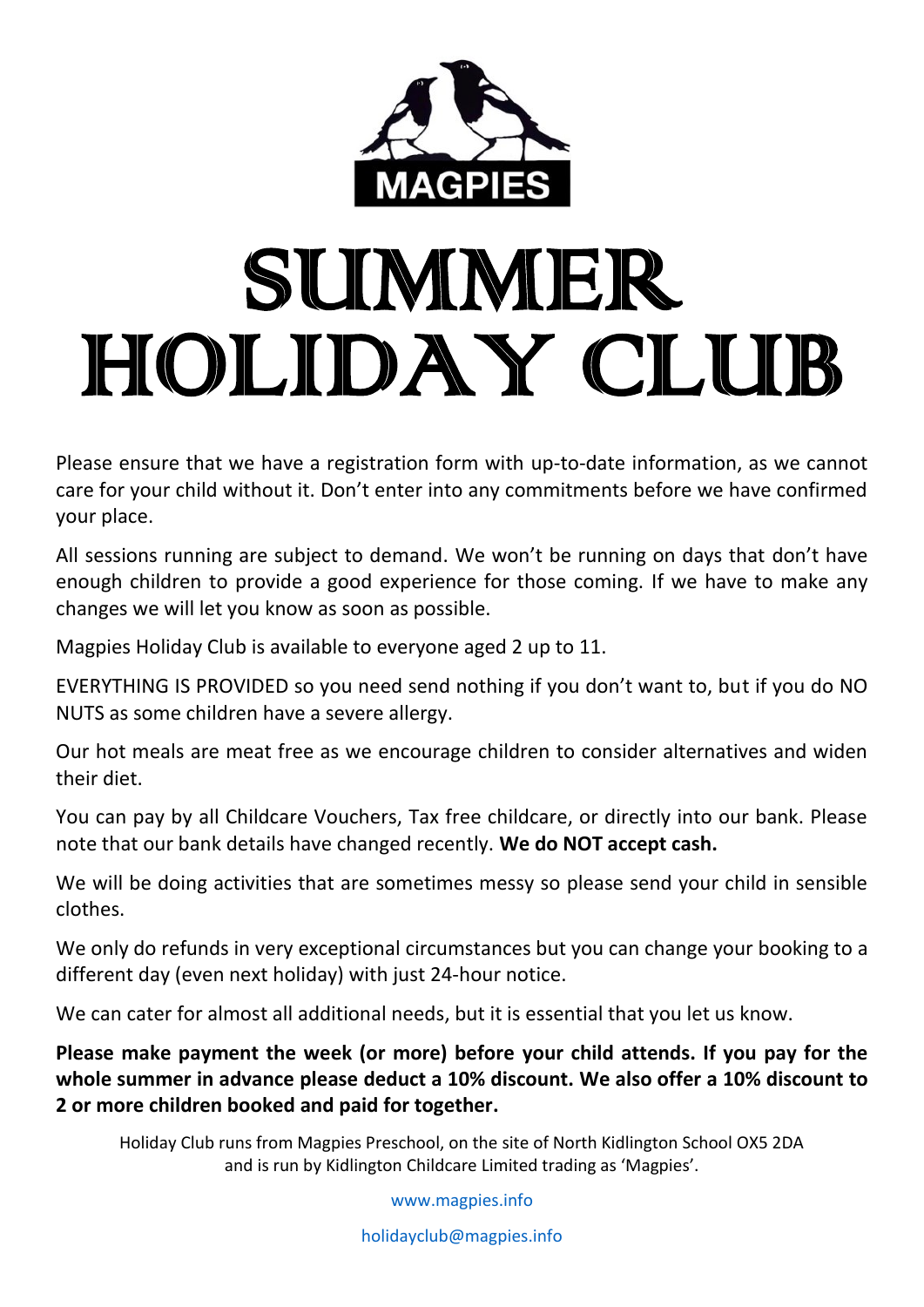

## SUMMER HOLIDAY CLUB

Please ensure that we have a registration form with up-to-date information, as we cannot care for your child without it. Don't enter into any commitments before we have confirmed your place.

All sessions running are subject to demand. We won't be running on days that don't have enough children to provide a good experience for those coming. If we have to make any changes we will let you know as soon as possible.

Magpies Holiday Club is available to everyone aged 2 up to 11.

EVERYTHING IS PROVIDED so you need send nothing if you don't want to, but if you do NO NUTS as some children have a severe allergy.

Our hot meals are meat free as we encourage children to consider alternatives and widen their diet.

You can pay by all Childcare Vouchers, Tax free childcare, or directly into our bank. Please note that our bank details have changed recently. **We do NOT accept cash.**

We will be doing activities that are sometimes messy so please send your child in sensible clothes.

We only do refunds in very exceptional circumstances but you can change your booking to a different day (even next holiday) with just 24-hour notice.

We can cater for almost all additional needs, but it is essential that you let us know.

**Please make payment the week (or more) before your child attends. If you pay for the whole summer in advance please deduct a 10% discount. We also offer a 10% discount to 2 or more children booked and paid for together.**

Holiday Club runs from Magpies Preschool, on the site of North Kidlington School OX5 2DA and is run by Kidlington Childcare Limited trading as 'Magpies'.

[www.magpies.info](http://www.magpies.info/)

[holidayclub@magpies.info](mailto:holidayclub@magpies.info)